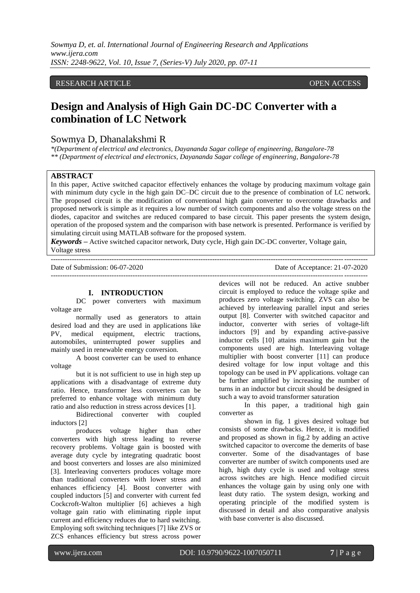*Sowmya D, et. al. International Journal of Engineering Research and Applications www.ijera.com ISSN: 2248-9622, Vol. 10, Issue 7, (Series-V) July 2020, pp. 07-11*

## RESEARCH ARTICLE **ARTICLE** AND **CONSTRUCTER** OPEN ACCESS OPEN ACCESS OPEN ACCESS OPEN ACCESS OPEN ACCESS OF A STREET AND A STREET AND A STREET AND A STREET AND A STREET AND A STREET AND A STREET AND A STREET AND A STREET A

# **Design and Analysis of High Gain DC-DC Converter with a combination of LC Network**

# Sowmya D, Dhanalakshmi R

*\*(Department of electrical and electronics, Dayananda Sagar college of engineering, Bangalore-78 \*\* (Department of electrical and electronics, Dayananda Sagar college of engineering, Bangalore-78*

# **ABSTRACT**

In this paper, Active switched capacitor effectively enhances the voltage by producing maximum voltage gain with minimum duty cycle in the high gain DC–DC circuit due to the presence of combination of LC network. The proposed circuit is the modification of conventional high gain converter to overcome drawbacks and proposed network is simple as it requires a low number of switch components and also the voltage stress on the diodes, capacitor and switches are reduced compared to base circuit. This paper presents the system design, operation of the proposed system and the comparison with base network is presented. Performance is verified by simulating circuit using MATLAB software for the proposed system.

*Keywords* **–** Active switched capacitor network, Duty cycle, High gain DC-DC converter, Voltage gain, Voltage stress

---------------------------------------------------------------------------------------------------------------------------------------

Date of Submission: 06-07-2020 Date of Acceptance: 21-07-2020

---------------------------------------------------------------------------------------------------------------------------------------

## **I. INTRODUCTION**

DC power converters with maximum voltage are

normally used as generators to attain desired load and they are used in applications like PV, medical equipment, electric tractions, automobiles, uninterrupted power supplies and mainly used in renewable energy conversion.

A boost converter can be used to enhance voltage

but it is not sufficient to use in high step up applications with a disadvantage of extreme duty ratio. Hence, transformer less converters can be preferred to enhance voltage with minimum duty ratio and also reduction in stress across devices [1].

Bidirectional converter with coupled inductors [2]

produces voltage higher than other converters with high stress leading to reverse recovery problems. Voltage gain is boosted with average duty cycle by integrating quadratic boost and boost converters and losses are also minimized [3]. Interleaving converters produces voltage more than traditional converters with lower stress and enhances efficiency [4]. Boost converter with coupled inductors [5] and converter with current fed Cockcroft-Walton multiplier [6] achieves a high voltage gain ratio with eliminating ripple input current and efficiency reduces due to hard switching. Employing soft switching techniques [7] like ZVS or ZCS enhances efficiency but stress across power

devices will not be reduced. An active snubber circuit is employed to reduce the voltage spike and produces zero voltage switching. ZVS can also be achieved by interleaving parallel input and series output [8]. Converter with switched capacitor and inductor, converter with series of voltage-lift inductors [9] and by expanding active-passive inductor cells [10] attains maximum gain but the components used are high. Interleaving voltage multiplier with boost converter [11] can produce desired voltage for low input voltage and this topology can be used in PV applications. voltage can be further amplified by increasing the number of turns in an inductor but circuit should be designed in such a way to avoid transformer saturation

In this paper, a traditional high gain converter as

shown in fig. 1 gives desired voltage but consists of some drawbacks. Hence, it is modified and proposed as shown in fig.2 by adding an active switched capacitor to overcome the demerits of base converter. Some of the disadvantages of base converter are number of switch components used are high, high duty cycle is used and voltage stress across switches are high. Hence modified circuit enhances the voltage gain by using only one with least duty ratio. The system design, working and operating principle of the modified system is discussed in detail and also comparative analysis with base converter is also discussed.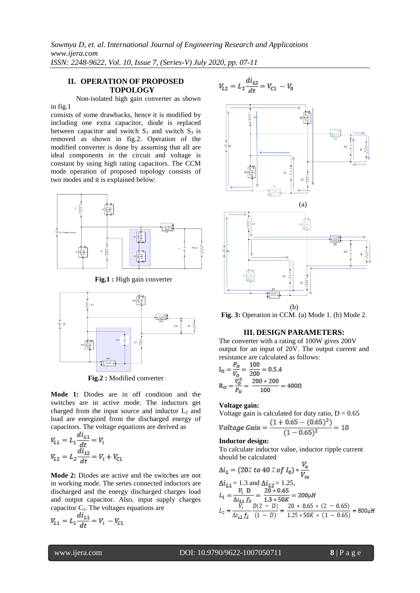*Sowmya D, et. al. International Journal of Engineering Research and Applications www.ijera.com ISSN: 2248-9622, Vol. 10, Issue 7, (Series-V) July 2020, pp. 07-11*

# **II. OPERATION OF PROPOSED TOPOLOGY**

Non-isolated high gain converter as shown

in fig.1 consists of some drawbacks, hence it is modified by including one extra capacitor, diode is replaced between capacitor and switch  $S_1$  and switch  $S_3$  is removed as shown in fig.2. Operation of the modified converter is done by assuming that all are ideal components in the circuit and voltage is constant by using high rating capacitors. The CCM mode operation of proposed topology consists of two modes and it is explained below:



**Fig.1 :** High gain converter



**Fig.2 :** Modified converter

**Mode 1:** Diodes are in off condition and the switches are in active mode. The inductors get charged from the input source and inductor  $L_2$  and load are energized from the discharged energy of capacitors. The voltage equations are derived as

$$
V_{L1} = L_1 \frac{dL_1}{dt} = V_i
$$
  

$$
V_{L2} = L_2 \frac{dL_2}{dt} = V_i + V_{C1}
$$

**Mode 2:** Diodes are active and the switches are not in working mode. The series connected inductors are discharged and the energy discharged charges load and output capacitor. Also, input supply charges capacitor  $C_1$ . The voltages equations are

$$
V_{L1} = L_1 \frac{di_{L1}}{dt} = V_i - V_{C1}
$$



**Fig. 3:** Operation in CCM. (a) Mode 1. (b) Mode 2.

## **III. DESIGN PARAMETERS:**

The converter with a rating of 100W gives 200V output for an input of 20V. The output current and resistance are calculated as follows:

$$
I_0 = \frac{P_O}{V_O} = \frac{100}{200} = 0.5 A
$$
  
R<sub>O</sub> =  $\frac{V_O^2}{P_O} = \frac{200 * 200}{100} = 400 \Omega$ 

#### **Voltage gain:**

$$
Voltage gain is calculated for duty ratio, D = 0.65
$$

$$
Voltage Gain = \frac{(1+0.65-(0.65)^2)}{(1-0.65)^2} = 10
$$

#### **Inductor design:**

To calculate inductor value, inductor ripple current should be calculated  $\overline{U}$ 

$$
\Delta i_L = (20 \text{ % } 10 \text{ % } 10 \text{ % } 10 \text{ % } 10 \text{ % } 10 \text{ % } 10 \text{ % } 10 \text{ % } 10 \text{ % } 10 \text{ % } 10 \text{ % } 10 \text{ % } 10 \text{ % } 10 \text{ % } 10 \text{ % } 10 \text{ % } 10 \text{ % } 10 \text{ % } 10 \text{ % } 10 \text{ % } 10 \text{ % } 10 \text{ % } 10 \text{ % } 10 \text{ % } 10 \text{ % } 10 \text{ % } 10 \text{ % } 10 \text{ % } 10 \text{ % } 10 \text{ % } 10 \text{ % } 10 \text{ % } 10 \text{ % } 10 \text{ % } 10 \text{ % } 10 \text{ % } 10 \text{ % } 10 \text{ % } 10 \text{ % } 10 \text{ % } 10 \text{ % } 10 \text{ % } 10 \text{ % } 10 \text{ % } 10 \text{ % } 10 \text{ % } 10 \text{ % } 10 \text{ % } 10 \text{ % } 10 \text{ % } 10 \text{ % } 10 \text{ % } 10 \text{ % } 10 \text{ % } 10 \text{ % } 10 \text{ % } 10 \text{ % } 10 \text{ % } 10 \text{ % } 10 \text{ % } 10 \text{ % } 10 \text{ % } 10 \text{ % } 10 \text{ % } 10 \text{ % } 10 \text{ % } 10 \text{ % } 10 \text{ % } 10 \text{ % } 10 \text{ % } 10 \text{ % } 10 \text{ % } 10 \text{ % } 10 \text{ % } 10 \text{ % } 10 \text{ % } 10 \text{ % } 10 \text{ % } 10 \text{ % } 10 \text{ % } 10 \text{ % } 10 \text{ % } 10 \text{ % } 10 \text{ % } 10 \text{ % } 10 \text{ % } 10 \text{ % } 10 \text{ % } 10 \text{ % } 10 \text{ % } 10 \text{ % } 10 \text{ % } 10 \text{ % } 10 \text{ % } 10
$$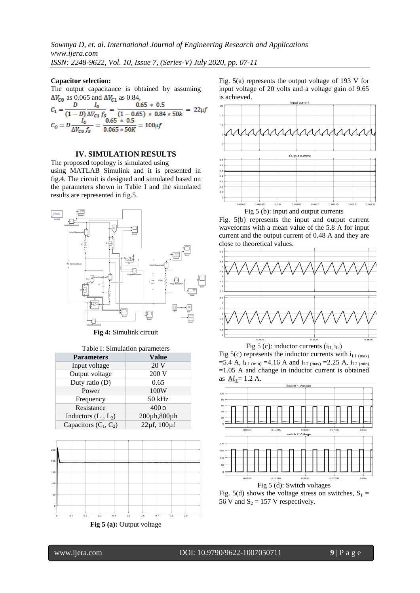### **Capacitor selection:**

The output capacitance is obtained by assuming  $\Delta V_{C0}$  as 0.065 and  $\Delta V_{C1}$  as 0.84,

$$
C_1 = \frac{D}{(1 - D)} \frac{I_0}{\Delta V_{C1} f_S} = \frac{0.65 \times 0.5}{(1 - 0.65) \times 0.84 \times 50k} = 22 \mu f
$$
  

$$
C_0 = D \frac{I_0}{\Delta V_{C0} f_S} = \frac{0.65 \times 0.5}{0.065 \times 50K} = 100 \mu f
$$

## **IV. SIMULATION RESULTS**

The proposed topology is simulated using using MATLAB Simulink and it is presented in fig.4. The circuit is designed and simulated based on the parameters shown in Table I and the simulated results are represented in fig.5.



**Fig 4:** Simulink circuit

#### Table I: Simulation parameters

| <b>Parameters</b>       | <b>Value</b>  |
|-------------------------|---------------|
| Input voltage           | 20 V          |
| Output voltage          | 200 V         |
| Duty ratio (D)          | 0.65          |
| Power                   | 100W          |
| Frequency               | 50 kHz        |
| Resistance              | $400\,\Omega$ |
| Inductors $(L_1, L_2)$  | 200µh,800µh   |
| Capacitors $(C_1, C_2)$ | 22µf, 100µf   |





Fig. 5(a) represents the output voltage of 193 V for input voltage of 20 volts and a voltage gain of 9.65 is achieved.



Fig 5 (b): input and output currents

Fig. 5(b) represents the input and output current waveforms with a mean value of the 5.8 A for input current and the output current of 0.48 A and they are close to theoretical values.



Fig 5 (c): inductor currents  $(i<sub>11</sub>, i<sub>12</sub>)$ Fig 5(c) represents the inductor currents with  $i_{L1 \text{ (max)}}$ =5.4 A,  $i_{L1 \text{ (min)}}$  =4.16 A and  $i_{L2 \text{ (max)}}$  =2.25 A,  $i_{L2 \text{ (min)}}$ =1.05 A and change in inductor current is obtained as  $\Delta i_L = 1.2$  A.



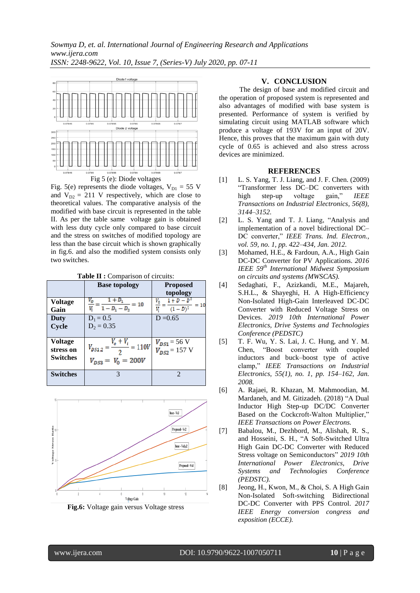

Fig. 5(e) represents the diode voltages,  $V_{D1} = 55$  V and  $V_{D2} = 211$  V respectively, which are close to theoretical values. The comparative analysis of the modified with base circuit is represented in the table II. As per the table same voltage gain is obtained with less duty cycle only compared to base circuit and the stress on switches of modified topology are less than the base circuit which is shown graphically in fig.6. and also the modified system consists only two switches.

**Table II :** Comparison of circuits:

|                                                | <b>Base topology</b>                                                    | <b>Proposed</b><br>topology                     |
|------------------------------------------------|-------------------------------------------------------------------------|-------------------------------------------------|
| <b>Voltage</b><br>Gain                         | $\frac{V_o}{V_i} = \frac{1 + D_1}{1 - D_1 - D_2}$<br>$= 10$             | $V_0$ $1 + D - D^2$<br>$=10$<br>$(1-D)^2$<br>V. |
| Duty<br>Cycle                                  | $D_1 = 0.5$<br>$D_2 = 0.35$                                             | $D = 0.65$                                      |
| <b>Voltage</b><br>stress on<br><b>Switches</b> | $\frac{V_o + V_i}{V} = 110V$<br>$V_{DS1,2} =$<br>$V_{DS3} = V_0 = 200V$ | $V_{DS1}$ = 56 V<br>$V_{DS2}$ = 157 V           |
| <b>Switches</b>                                | 3                                                                       | $\mathfrak{D}$                                  |





# **V. CONCLUSION**

The design of base and modified circuit and the operation of proposed system is represented and also advantages of modified with base system is presented. Performance of system is verified by simulating circuit using MATLAB software which produce a voltage of 193V for an input of 20V. Hence, this proves that the maximum gain with duty cycle of 0.65 is achieved and also stress across devices are minimized.

## **REFERENCES**

- [1] L. S. Yang, T. J. Liang, and J. F. Chen. (2009) "Transformer less DC–DC converters with<br>high step-up voltage gain," IEEE high step-up voltage gain," *IEEE Transactions on Industrial Electronics, 56(8), 3144–3152.*
- [2] L. S. Yang and T. J. Liang, "Analysis and implementation of a novel bidirectional DC– DC converter," *IEEE Trans. Ind. Electron., vol. 59, no. 1, pp. 422–434, Jan. 2012.*
- [3] Mohamed, H.E., & Fardoun, A.A., High Gain DC-DC Converter for PV Applications. *2016 IEEE 59th International Midwest Symposium on circuits and systems (MWSCAS).*
- [4] Sedaghati, F., Azizkandi, M.E., Majareh, S.H.L., & Shayeghi, H. A High-Efficiency Non-Isolated High-Gain Interleaved DC-DC Converter with Reduced Voltage Stress on Devices. *2019 10th International Power Electronics, Drive Systems and Technologies Conference (PEDSTC)*
- [5] T. F. Wu, Y. S. Lai, J. C. Hung, and Y. M. Chen, "Boost converter with coupled inductors and buck–boost type of active clamp," *IEEE Transactions on Industrial Electronics, 55(1), no. 1, pp. 154–162, Jan. 2008.*
- [6] A. Rajaei, R. Khazan, M. Mahmoodian, M. Mardaneh, and M. Gitizadeh. (2018) "A Dual Inductor High Step-up DC/DC Converter Based on the Cockcroft-Walton Multiplier," *IEEE Transactions on Power Electrons.*
- [7] Babalou, M., Dezhbord, M., Alishah, R. S., and Hosseini, S. H., "A Soft-Switched Ultra High Gain DC-DC Converter with Reduced Stress voltage on Semiconductors" *2019 10th International Power Electronics, Drive Systems and Technologies Conference (PEDSTC).*
- [8] Jeong, H., Kwon, M., & Choi, S. A High Gain Non-Isolated Soft-switching Bidirectional DC-DC Converter with PPS Control. *2017 IEEE Energy conversion congress and exposition (ECCE).*